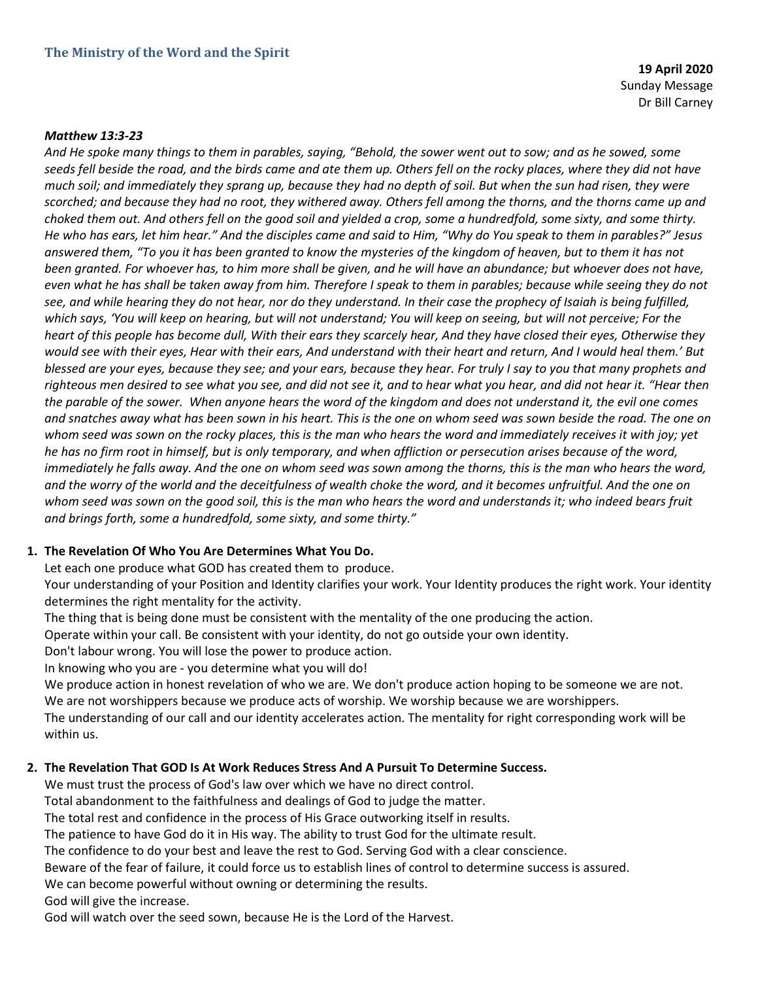**19 April 2020** Sunday Message Dr Bill Carney

#### *Matthew 13:3-23*

*And He spoke many things to them in parables, saying, "Behold, the sower went out to sow; and as he sowed, some seeds fell beside the road, and the birds came and ate them up. Others fell on the rocky places, where they did not have much soil; and immediately they sprang up, because they had no depth of soil. But when the sun had risen, they were scorched; and because they had no root, they withered away. Others fell among the thorns, and the thorns came up and choked them out. And others fell on the good soil and yielded a crop, some a hundredfold, some sixty, and some thirty. He who has ears, let him hear." And the disciples came and said to Him, "Why do You speak to them in parables?" Jesus answered them, "To you it has been granted to know the mysteries of the kingdom of heaven, but to them it has not been granted. For whoever has, to him more shall be given, and he will have an abundance; but whoever does not have, even what he has shall be taken away from him. Therefore I speak to them in parables; because while seeing they do not see, and while hearing they do not hear, nor do they understand. In their case the prophecy of Isaiah is being fulfilled, which says, 'You will keep on hearing, but will not understand; You will keep on seeing, but will not perceive; For the heart of this people has become dull, With their ears they scarcely hear, And they have closed their eyes, Otherwise they would see with their eyes, Hear with their ears, And understand with their heart and return, And I would heal them.' But blessed are your eyes, because they see; and your ears, because they hear. For truly I say to you that many prophets and righteous men desired to see what you see, and did not see it, and to hear what you hear, and did not hear it. "Hear then the parable of the sower. When anyone hears the word of the kingdom and does not understand it, the evil one comes and snatches away what has been sown in his heart. This is the one on whom seed was sown beside the road. The one on whom seed was sown on the rocky places, this is the man who hears the word and immediately receives it with joy; yet he has no firm root in himself, but is only temporary, and when affliction or persecution arises because of the word,*  immediately he falls away. And the one on whom seed was sown among the thorns, this is the man who hears the word, *and the worry of the world and the deceitfulness of wealth choke the word, and it becomes unfruitful. And the one on*  whom seed was sown on the good soil, this is the man who hears the word and understands it; who indeed bears fruit *and brings forth, some a hundredfold, some sixty, and some thirty."*

#### **1. The Revelation Of Who You Are Determines What You Do.**

Let each one produce what GOD has created them to produce.

Your understanding of your Position and Identity clarifies your work. Your Identity produces the right work. Your identity determines the right mentality for the activity.

The thing that is being done must be consistent with the mentality of the one producing the action.

Operate within your call. Be consistent with your identity, do not go outside your own identity.

Don't labour wrong. You will lose the power to produce action.

In knowing who you are - you determine what you will do!

We produce action in honest revelation of who we are. We don't produce action hoping to be someone we are not. We are not worshippers because we produce acts of worship. We worship because we are worshippers.

The understanding of our call and our identity accelerates action. The mentality for right corresponding work will be within us.

#### **2. The Revelation That GOD Is At Work Reduces Stress And A Pursuit To Determine Success.**

We must trust the process of God's law over which we have no direct control.

Total abandonment to the faithfulness and dealings of God to judge the matter.

The total rest and confidence in the process of His Grace outworking itself in results.

The patience to have God do it in His way. The ability to trust God for the ultimate result.

The confidence to do your best and leave the rest to God. Serving God with a clear conscience.

Beware of the fear of failure, it could force us to establish lines of control to determine success is assured.

We can become powerful without owning or determining the results.

God will give the increase.

God will watch over the seed sown, because He is the Lord of the Harvest.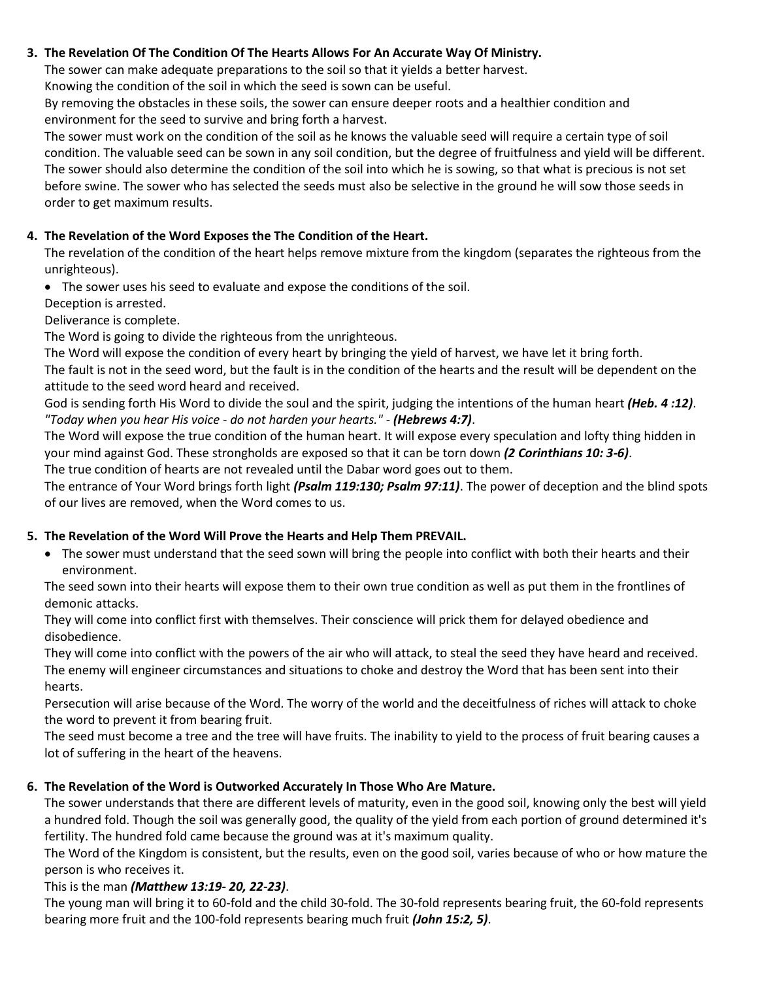### **3. The Revelation Of The Condition Of The Hearts Allows For An Accurate Way Of Ministry.**

The sower can make adequate preparations to the soil so that it yields a better harvest.

Knowing the condition of the soil in which the seed is sown can be useful.

By removing the obstacles in these soils, the sower can ensure deeper roots and a healthier condition and environment for the seed to survive and bring forth a harvest.

The sower must work on the condition of the soil as he knows the valuable seed will require a certain type of soil condition. The valuable seed can be sown in any soil condition, but the degree of fruitfulness and yield will be different. The sower should also determine the condition of the soil into which he is sowing, so that what is precious is not set before swine. The sower who has selected the seeds must also be selective in the ground he will sow those seeds in order to get maximum results.

## **4. The Revelation of the Word Exposes the The Condition of the Heart.**

The revelation of the condition of the heart helps remove mixture from the kingdom (separates the righteous from the unrighteous).

• The sower uses his seed to evaluate and expose the conditions of the soil.

Deception is arrested.

Deliverance is complete.

The Word is going to divide the righteous from the unrighteous.

The Word will expose the condition of every heart by bringing the yield of harvest, we have let it bring forth.

The fault is not in the seed word, but the fault is in the condition of the hearts and the result will be dependent on the attitude to the seed word heard and received.

God is sending forth His Word to divide the soul and the spirit, judging the intentions of the human heart *(Heb. 4 :12)*. *"Today when you hear His voice - do not harden your hearts."* - *(Hebrews 4:7)*.

The Word will expose the true condition of the human heart. It will expose every speculation and lofty thing hidden in your mind against God. These strongholds are exposed so that it can be torn down *(2 Corinthians 10: 3-6)*.

The true condition of hearts are not revealed until the Dabar word goes out to them. The entrance of Your Word brings forth light *(Psalm 119:130; Psalm 97:11)*. The power of deception and the blind spots

of our lives are removed, when the Word comes to us.

# **5. The Revelation of the Word Will Prove the Hearts and Help Them PREVAIL.**

• The sower must understand that the seed sown will bring the people into conflict with both their hearts and their environment.

The seed sown into their hearts will expose them to their own true condition as well as put them in the frontlines of demonic attacks.

They will come into conflict first with themselves. Their conscience will prick them for delayed obedience and disobedience.

They will come into conflict with the powers of the air who will attack, to steal the seed they have heard and received. The enemy will engineer circumstances and situations to choke and destroy the Word that has been sent into their hearts.

Persecution will arise because of the Word. The worry of the world and the deceitfulness of riches will attack to choke the word to prevent it from bearing fruit.

The seed must become a tree and the tree will have fruits. The inability to yield to the process of fruit bearing causes a lot of suffering in the heart of the heavens.

## **6. The Revelation of the Word is Outworked Accurately In Those Who Are Mature.**

The sower understands that there are different levels of maturity, even in the good soil, knowing only the best will yield a hundred fold. Though the soil was generally good, the quality of the yield from each portion of ground determined it's fertility. The hundred fold came because the ground was at it's maximum quality.

The Word of the Kingdom is consistent, but the results, even on the good soil, varies because of who or how mature the person is who receives it.

## This is the man *(Matthew 13:19- 20, 22-23)*.

The young man will bring it to 60-fold and the child 30-fold. The 30-fold represents bearing fruit, the 60-fold represents bearing more fruit and the 100-fold represents bearing much fruit *(John 15:2, 5)*.